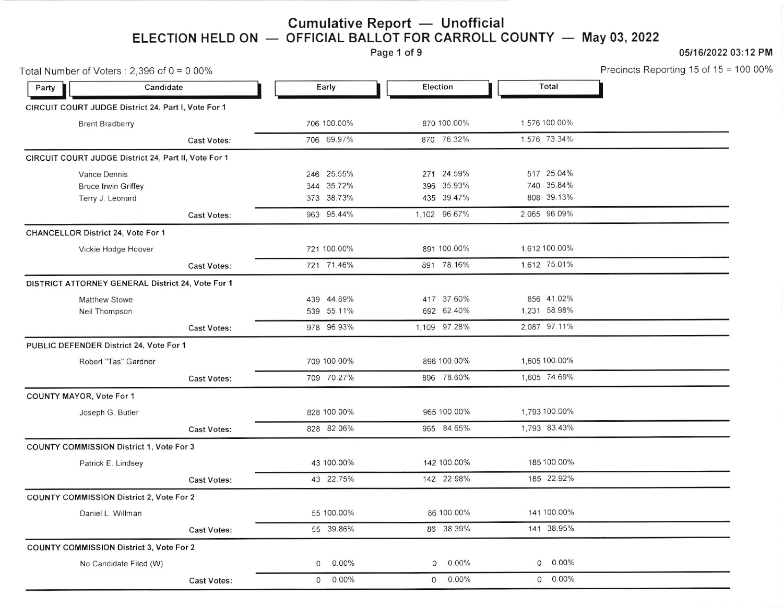#### ELECTION HELD ON Cumulative Report — Unofficial<br>OFFICIAL BALLOT FOR CARROLL ( OFFICIAL BALLOT FOR CARROLL COUNTY May 03,2022

Page 1 of 9

### 0511612022 03:12 PM

Precincts Reporting 15 of 15 = 100.00%

|       | Total Number of Voters: $2,396$ of $0 = 0.00\%$      |                    |             |               |                     | Precincts Reporting 15 of 15 = |
|-------|------------------------------------------------------|--------------------|-------------|---------------|---------------------|--------------------------------|
| Party | Candidate                                            |                    | Early       | Election      | Total               |                                |
|       | CIRCUIT COURT JUDGE District 24, Part I, Vote For 1  |                    |             |               |                     |                                |
|       | <b>Brent Bradberry</b>                               |                    | 706 100.00% | 870 100.00%   | 1,576 100.00%       |                                |
|       |                                                      | <b>Cast Votes:</b> | 706 69.97%  | 870 76.32%    | 1.576 73.34%        |                                |
|       | CIRCUIT COURT JUDGE District 24, Part II, Vote For 1 |                    |             |               |                     |                                |
|       | Vance Dennis                                         |                    | 246 25.55%  | 271 24.59%    | 517 25.04%          |                                |
|       | <b>Bruce Irwin Griffey</b>                           |                    | 344 35.72%  | 396 35.93%    | 740 35.84%          |                                |
|       | Terry J. Leonard                                     |                    | 373 38.73%  | 435 39.47%    | 808 39.13%          |                                |
|       |                                                      | <b>Cast Votes:</b> | 963 95.44%  | 1,102 96.67%  | 2,065 96.09%        |                                |
|       | CHANCELLOR District 24, Vote For 1                   |                    |             |               |                     |                                |
|       | Vickie Hodge Hoover                                  |                    | 721 100.00% | 891 100.00%   | 1,612 100.00%       |                                |
|       |                                                      | <b>Cast Votes:</b> | 721 71.46%  | 891 78.16%    | 1,612 75.01%        |                                |
|       | DISTRICT ATTORNEY GENERAL District 24, Vote For 1    |                    |             |               |                     |                                |
|       | <b>Matthew Stowe</b>                                 |                    | 439 44.89%  | 417 37.60%    | 856 41.02%          |                                |
|       | Neil Thompson                                        |                    | 539 55.11%  | 692 62.40%    | 1,231 58.98%        |                                |
|       |                                                      | <b>Cast Votes:</b> | 978 96.93%  | 1,109 97.28%  | 2,087 97.11%        |                                |
|       | PUBLIC DEFENDER District 24, Vote For 1              |                    |             |               |                     |                                |
|       | Robert "Tas" Gardner                                 |                    | 709 100.00% | 896 100.00%   | 1,605 100.00%       |                                |
|       |                                                      | <b>Cast Votes:</b> | 709 70.27%  | 896 78.60%    | 1.605 74.69%        |                                |
|       | COUNTY MAYOR, Vote For 1                             |                    |             |               |                     |                                |
|       | Joseph G. Butler                                     |                    | 828 100.00% | 965 100.00%   | 1,793 100.00%       |                                |
|       |                                                      | <b>Cast Votes:</b> | 828 82.06%  | 965 84.65%    | 1.793 83.43%        |                                |
|       | COUNTY COMMISSION District 1, Vote For 3             |                    |             |               |                     |                                |
|       | Patrick E. Lindsey                                   |                    | 43 100.00%  | 142 100.00%   | 185 100.00%         |                                |
|       |                                                      | <b>Cast Votes:</b> | 43 22.75%   | 142 22.98%    | 185 22.92%          |                                |
|       | COUNTY COMMISSION District 2, Vote For 2             |                    |             |               |                     |                                |
|       | Daniel L. Willman                                    |                    | 55 100.00%  | 86 100.00%    | 141 100.00%         |                                |
|       |                                                      | <b>Cast Votes:</b> | 55 39.86%   | 86 38.39%     | 141 38.95%          |                                |
|       | <b>COUNTY COMMISSION District 3, Vote For 2</b>      |                    |             |               |                     |                                |
|       | No Candidate Filed (W)                               |                    | 0.00%<br>0  | $0.00\%$<br>0 | $0.00\%$<br>$\circ$ |                                |
|       |                                                      | <b>Cast Votes:</b> | $0 0.00\%$  | $0 0.00\%$    | $0 0.00\%$          |                                |
|       |                                                      |                    |             |               |                     |                                |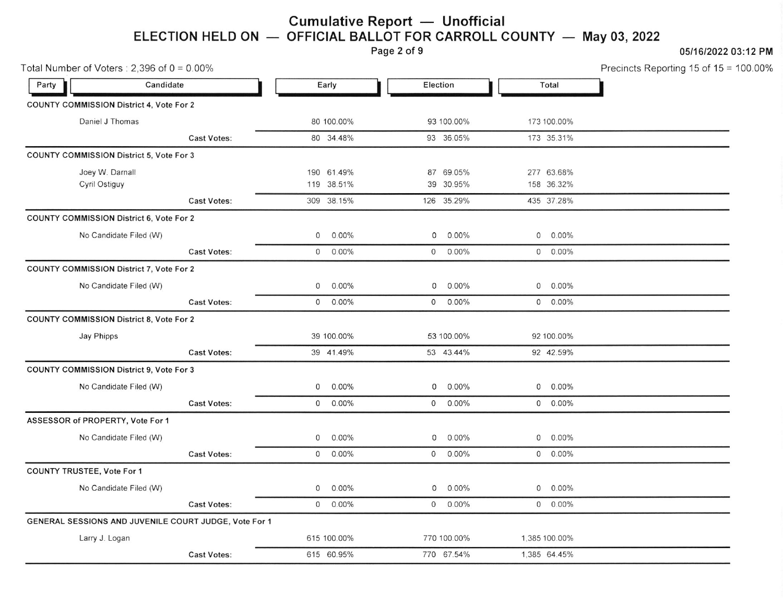# Cumulative Report Unofficial Cumulative Report — Unofficial<br>ELECTION HELD ON — OFFICIAL BALLOT FOR CARROLL COUNTY — May 03, 2022<br>Page 2 of 9

## Page 2 of 9 05/16/2022 03:12 PM

|       | Total Number of Voters: $2,396$ of $0 = 0.00\%$       |                    |              |             |              |             |              |               | Precincts Reporting 15 of 15 = 100.00% |
|-------|-------------------------------------------------------|--------------------|--------------|-------------|--------------|-------------|--------------|---------------|----------------------------------------|
| Party | Candidate                                             |                    |              | Early       |              | Election    |              | Total         |                                        |
|       | <b>COUNTY COMMISSION District 4, Vote For 2</b>       |                    |              |             |              |             |              |               |                                        |
|       | Daniel J Thomas                                       |                    |              | 80 100.00%  |              | 93 100.00%  |              | 173 100.00%   |                                        |
|       |                                                       | <b>Cast Votes:</b> |              | 80 34.48%   |              | 93 36.05%   |              | 173 35.31%    |                                        |
|       | COUNTY COMMISSION District 5, Vote For 3              |                    |              |             |              |             |              |               |                                        |
|       | Joey W. Darnall                                       |                    |              | 190 61.49%  |              | 87 69.05%   |              | 277 63.68%    |                                        |
|       | Cyril Ostiguy                                         |                    |              | 119 38.51%  |              | 39 30.95%   |              | 158 36.32%    |                                        |
|       |                                                       | <b>Cast Votes:</b> |              | 309 38.15%  |              | 126 35.29%  |              | 435 37.28%    |                                        |
|       | COUNTY COMMISSION District 6, Vote For 2              |                    |              |             |              |             |              |               |                                        |
|       | No Candidate Filed (W)                                |                    | $\mathbf 0$  | $0.00\%$    | 0            | $0.00\%$    | $\circ$      | $0.00\%$      |                                        |
|       |                                                       | <b>Cast Votes:</b> | $\mathbf{0}$ | $0.00\%$    | $\mathsf{O}$ | $0.00\%$    |              | $0.00\%$      |                                        |
|       | COUNTY COMMISSION District 7, Vote For 2              |                    |              |             |              |             |              |               |                                        |
|       | No Candidate Filed (W)                                |                    | $\mathsf{O}$ | $0.00\%$    | 0            | $0.00\%$    | $\mathsf{O}$ | $0.00\%$      |                                        |
|       |                                                       | <b>Cast Votes:</b> | 0            | $0.00\%$    |              | $0.00\%$    |              | $0.00\%$      |                                        |
|       | <b>COUNTY COMMISSION District 8, Vote For 2</b>       |                    |              |             |              |             |              |               |                                        |
|       | Jay Phipps                                            |                    |              | 39 100.00%  |              | 53 100.00%  |              | 92 100.00%    |                                        |
|       |                                                       | <b>Cast Votes:</b> |              | 39 41.49%   |              | 53 43.44%   |              | 92 42.59%     |                                        |
|       | COUNTY COMMISSION District 9, Vote For 3              |                    |              |             |              |             |              |               |                                        |
|       | No Candidate Filed (W)                                |                    | 0            | $0.00\%$    | $\mathbf{O}$ | $0.00\%$    | 0            | $0.00\%$      |                                        |
|       |                                                       | <b>Cast Votes:</b> |              | $0 0.00\%$  |              | $0 0.00\%$  |              | $0.00\%$      |                                        |
|       | ASSESSOR of PROPERTY, Vote For 1                      |                    |              |             |              |             |              |               |                                        |
|       | No Candidate Filed (W)                                |                    | 0            | $0.00\%$    | 0            | $0.00\%$    | $\mathbf 0$  | $0.00\%$      |                                        |
|       |                                                       | <b>Cast Votes:</b> |              | $0.00\%$    |              | $0.00\%$    |              | $0.00\%$      |                                        |
|       | COUNTY TRUSTEE, Vote For 1                            |                    |              |             |              |             |              |               |                                        |
|       | No Candidate Filed (W)                                |                    | $\mathbf{0}$ | 0.00%       | $\mathsf{O}$ | 0.00%       | 0            | $0.00\%$      |                                        |
|       |                                                       | <b>Cast Votes:</b> |              | $0.00\%$    | $\circ$      | 0.00%       |              | $0.00\%$      |                                        |
|       | GENERAL SESSIONS AND JUVENILE COURT JUDGE, Vote For 1 |                    |              |             |              |             |              |               |                                        |
|       | Larry J. Logan                                        |                    |              | 615 100.00% |              | 770 100.00% |              | 1.385 100.00% |                                        |
|       |                                                       | <b>Cast Votes:</b> |              | 615 60.95%  |              | 770 67.54%  |              | 1.385 64.45%  |                                        |